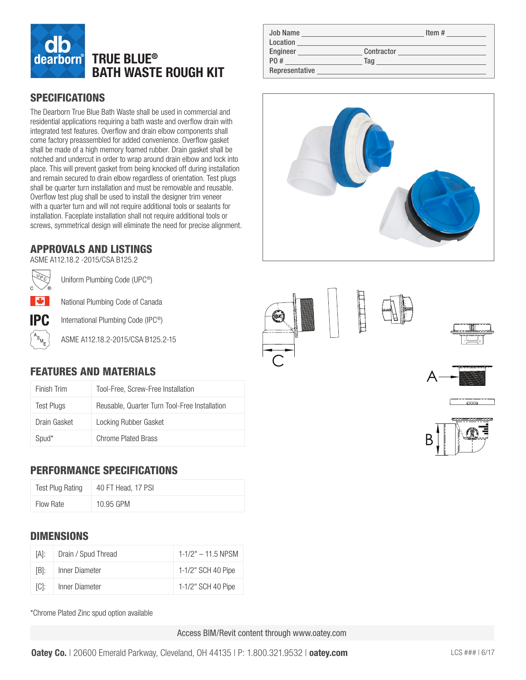

### SPECIFICATIONS

The Dearborn True Blue Bath Waste shall be used in commercial and residential applications requiring a bath waste and overflow drain with integrated test features. Overflow and drain elbow components shall come factory preassembled for added convenience. Overflow gasket shall be made of a high memory foamed rubber. Drain gasket shall be notched and undercut in order to wrap around drain elbow and lock into place. This will prevent gasket from being knocked off during installation and remain secured to drain elbow regardless of orientation. Test plugs shall be quarter turn installation and must be removable and reusable. Overflow test plug shall be used to install the designer trim veneer with a quarter turn and will not require additional tools or sealants for installation. Faceplate installation shall not require additional tools or screws, symmetrical design will eliminate the need for precise alignment.

# APPROVALS AND LISTINGS

ASME A112.18.2 -2015/CSA B125.2



Uniform Plumbing Code (UPC®)



**IPC** 

International Plumbing Code (IPC®)

National Plumbing Code of Canada

ASME A112.18.2-2015/CSA B125.2-15

# FEATURES AND MATERIALS

| Finish Trim  | Tool-Free, Screw-Free Installation            |
|--------------|-----------------------------------------------|
| Test Plugs   | Reusable, Quarter Turn Tool-Free Installation |
| Drain Gasket | Locking Rubber Gasket                         |
| Spud*        | Chrome Plated Brass                           |

## PERFORMANCE SPECIFICATIONS

| <b>Test Plug Rating</b> | 40 FT Head, 17 PSI |
|-------------------------|--------------------|
| Flow Rate               | 10.95 GPM          |

#### DIMENSIONS

| [A]:              | Drain / Spud Thread | $1-1/2" - 11.5$ NPSM |
|-------------------|---------------------|----------------------|
| TB1:              | Inner Diameter      | 1-1/2" SCH 40 Pipe   |
| TC <sub>1</sub> : | Inner Diameter      | 1-1/2" SCH 40 Pipe   |

\*Chrome Plated Zinc spud option available

Access BIM/Revit content through www.oatey.com

| <b>Job Name</b> | Item#      |
|-----------------|------------|
| Location        |            |
| Engineer        | Contractor |
| P0 #            | Taq        |
| Representative  |            |
|                 |            |